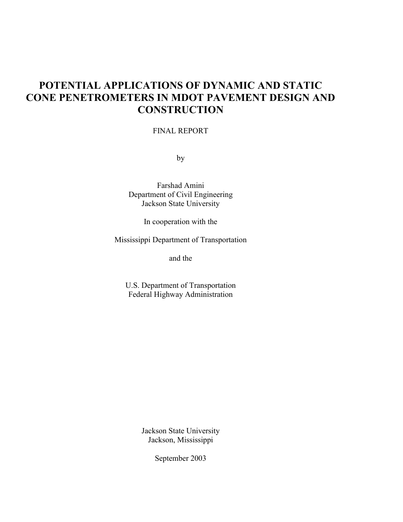# **POTENTIAL APPLICATIONS OF DYNAMIC AND STATIC CONE PENETROMETERS IN MDOT PAVEMENT DESIGN AND CONSTRUCTION**

## FINAL REPORT

by

Farshad Amini Department of Civil Engineering Jackson State University

In cooperation with the

Mississippi Department of Transportation

and the

U.S. Department of Transportation Federal Highway Administration

> Jackson State University Jackson, Mississippi

> > September 2003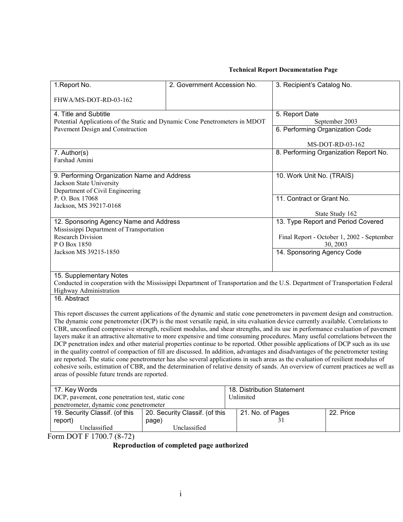# **Technical Report Documentation Page**

| 1. Report No.                                                                                                                                                                                                                                                      | 2. Government Accession No.    |                                 | 3. Recipient's Catalog No.            |                                            |  |
|--------------------------------------------------------------------------------------------------------------------------------------------------------------------------------------------------------------------------------------------------------------------|--------------------------------|---------------------------------|---------------------------------------|--------------------------------------------|--|
| FHWA/MS-DOT-RD-03-162                                                                                                                                                                                                                                              |                                |                                 |                                       |                                            |  |
| 4. Title and Subtitle                                                                                                                                                                                                                                              |                                |                                 | 5. Report Date                        |                                            |  |
| Potential Applications of the Static and Dynamic Cone Penetrometers in MDOT                                                                                                                                                                                        |                                |                                 | September 2003                        |                                            |  |
| Pavement Design and Construction                                                                                                                                                                                                                                   |                                | 6. Performing Organization Code |                                       |                                            |  |
|                                                                                                                                                                                                                                                                    |                                |                                 |                                       |                                            |  |
|                                                                                                                                                                                                                                                                    |                                |                                 |                                       | MS-DOT-RD-03-162                           |  |
| 7. Author(s)                                                                                                                                                                                                                                                       |                                |                                 | 8. Performing Organization Report No. |                                            |  |
| Farshad Amini                                                                                                                                                                                                                                                      |                                |                                 |                                       |                                            |  |
|                                                                                                                                                                                                                                                                    |                                |                                 |                                       |                                            |  |
| 9. Performing Organization Name and Address                                                                                                                                                                                                                        |                                |                                 | 10. Work Unit No. (TRAIS)             |                                            |  |
| Jackson State University                                                                                                                                                                                                                                           |                                |                                 |                                       |                                            |  |
| Department of Civil Engineering                                                                                                                                                                                                                                    |                                |                                 |                                       |                                            |  |
| P.O. Box 17068                                                                                                                                                                                                                                                     |                                |                                 | 11. Contract or Grant No.             |                                            |  |
| Jackson, MS 39217-0168                                                                                                                                                                                                                                             |                                |                                 |                                       |                                            |  |
|                                                                                                                                                                                                                                                                    |                                |                                 | State Study 162                       |                                            |  |
| 12. Sponsoring Agency Name and Address                                                                                                                                                                                                                             |                                |                                 | 13. Type Report and Period Covered    |                                            |  |
| Mississippi Department of Transportation                                                                                                                                                                                                                           |                                |                                 |                                       |                                            |  |
| <b>Research Division</b>                                                                                                                                                                                                                                           |                                |                                 |                                       | Final Report - October 1, 2002 - September |  |
| P O Box 1850                                                                                                                                                                                                                                                       |                                |                                 | 30, 2003                              |                                            |  |
| Jackson MS 39215-1850                                                                                                                                                                                                                                              |                                |                                 | 14. Sponsoring Agency Code            |                                            |  |
|                                                                                                                                                                                                                                                                    |                                |                                 |                                       |                                            |  |
|                                                                                                                                                                                                                                                                    |                                |                                 |                                       |                                            |  |
| 15. Supplementary Notes<br>Conducted in cooperation with the Mississippi Department of Transportation and the U.S. Department of Transportation Federal                                                                                                            |                                |                                 |                                       |                                            |  |
| Highway Administration                                                                                                                                                                                                                                             |                                |                                 |                                       |                                            |  |
| 16. Abstract                                                                                                                                                                                                                                                       |                                |                                 |                                       |                                            |  |
|                                                                                                                                                                                                                                                                    |                                |                                 |                                       |                                            |  |
| This report discusses the current applications of the dynamic and static cone penetrometers in pavement design and construction.                                                                                                                                   |                                |                                 |                                       |                                            |  |
|                                                                                                                                                                                                                                                                    |                                |                                 |                                       |                                            |  |
| The dynamic cone penetrometer (DCP) is the most versatile rapid, in situ evaluation device currently available. Correlations to<br>CBR, unconfined compressive strength, resilient modulus, and shear strengths, and its use in performance evaluation of pavement |                                |                                 |                                       |                                            |  |
| layers make it an attractive alternative to more expensive and time consuming procedures. Many useful correlations between the                                                                                                                                     |                                |                                 |                                       |                                            |  |
| DCP penetration index and other material properties continue to be reported. Other possible applications of DCP such as its use                                                                                                                                    |                                |                                 |                                       |                                            |  |
| in the quality control of compaction of fill are discussed. In addition, advantages and disadvantages of the penetrometer testing                                                                                                                                  |                                |                                 |                                       |                                            |  |
| are reported. The static cone penetrometer has also several applications in such areas as the evaluation of resilient modulus of                                                                                                                                   |                                |                                 |                                       |                                            |  |
| cohesive soils, estimation of CBR, and the determination of relative density of sands. An overview of current practices ae well as                                                                                                                                 |                                |                                 |                                       |                                            |  |
| areas of possible future trends are reported.                                                                                                                                                                                                                      |                                |                                 |                                       |                                            |  |
|                                                                                                                                                                                                                                                                    |                                |                                 |                                       |                                            |  |
| 17. Key Words                                                                                                                                                                                                                                                      |                                | 18. Distribution Statement      |                                       |                                            |  |
| DCP, pavement, cone penetration test, static cone                                                                                                                                                                                                                  |                                | Unlimited                       |                                       |                                            |  |
| penetrometer, dynamic cone penetrometer                                                                                                                                                                                                                            |                                |                                 |                                       |                                            |  |
| 19. Security Classif. (of this                                                                                                                                                                                                                                     | 20. Security Classif. (of this | 21. No. of Pages                |                                       | 22. Price                                  |  |
| report)                                                                                                                                                                                                                                                            | page)                          |                                 | 31                                    |                                            |  |
| Unclassified                                                                                                                                                                                                                                                       | Unclassified                   |                                 |                                       |                                            |  |
| Form DOT F 1700.7 (8-72)                                                                                                                                                                                                                                           |                                |                                 |                                       |                                            |  |

#### **Reproduction of completed page authorized**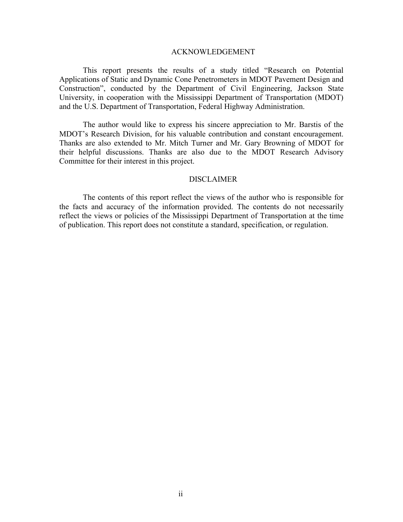#### ACKNOWLEDGEMENT

This report presents the results of a study titled "Research on Potential Applications of Static and Dynamic Cone Penetrometers in MDOT Pavement Design and Constructionî, conducted by the Department of Civil Engineering, Jackson State University, in cooperation with the Mississippi Department of Transportation (MDOT) and the U.S. Department of Transportation, Federal Highway Administration.

The author would like to express his sincere appreciation to Mr. Barstis of the MDOT's Research Division, for his valuable contribution and constant encouragement. Thanks are also extended to Mr. Mitch Turner and Mr. Gary Browning of MDOT for their helpful discussions. Thanks are also due to the MDOT Research Advisory Committee for their interest in this project.

#### DISCLAIMER

The contents of this report reflect the views of the author who is responsible for the facts and accuracy of the information provided. The contents do not necessarily reflect the views or policies of the Mississippi Department of Transportation at the time of publication. This report does not constitute a standard, specification, or regulation.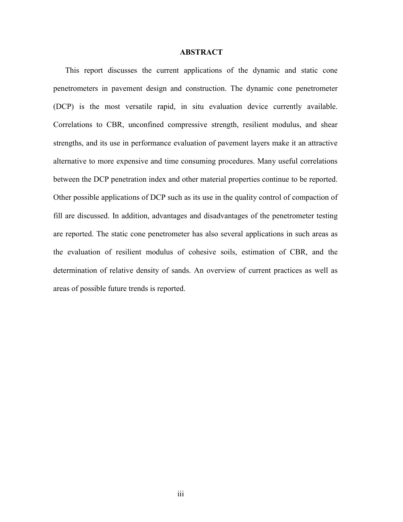### **ABSTRACT**

This report discusses the current applications of the dynamic and static cone penetrometers in pavement design and construction. The dynamic cone penetrometer (DCP) is the most versatile rapid, in situ evaluation device currently available. Correlations to CBR, unconfined compressive strength, resilient modulus, and shear strengths, and its use in performance evaluation of pavement layers make it an attractive alternative to more expensive and time consuming procedures. Many useful correlations between the DCP penetration index and other material properties continue to be reported. Other possible applications of DCP such as its use in the quality control of compaction of fill are discussed. In addition, advantages and disadvantages of the penetrometer testing are reported. The static cone penetrometer has also several applications in such areas as the evaluation of resilient modulus of cohesive soils, estimation of CBR, and the determination of relative density of sands. An overview of current practices as well as areas of possible future trends is reported.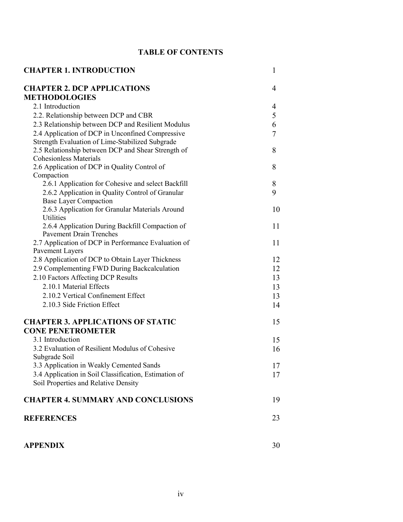# **TABLE OF CONTENTS**

| <b>CHAPTER 1. INTRODUCTION</b>                                                  | $\mathbf{1}$ |
|---------------------------------------------------------------------------------|--------------|
| <b>CHAPTER 2. DCP APPLICATIONS</b>                                              | 4            |
| <b>METHODOLOGIES</b>                                                            |              |
| 2.1 Introduction                                                                | 4            |
| 2.2. Relationship between DCP and CBR                                           | 5            |
| 2.3 Relationship between DCP and Resilient Modulus                              | 6            |
| 2.4 Application of DCP in Unconfined Compressive                                | 7            |
| Strength Evaluation of Lime-Stabilized Subgrade                                 |              |
| 2.5 Relationship between DCP and Shear Strength of                              | 8            |
| <b>Cohesionless Materials</b>                                                   |              |
| 2.6 Application of DCP in Quality Control of                                    | 8            |
| Compaction                                                                      |              |
| 2.6.1 Application for Cohesive and select Backfill                              | 8            |
| 2.6.2 Application in Quality Control of Granular                                | 9            |
| <b>Base Layer Compaction</b><br>2.6.3 Application for Granular Materials Around | 10           |
| <b>Utilities</b>                                                                |              |
| 2.6.4 Application During Backfill Compaction of                                 | 11           |
| <b>Pavement Drain Trenches</b>                                                  |              |
| 2.7 Application of DCP in Performance Evaluation of                             | 11           |
| Pavement Layers                                                                 |              |
| 2.8 Application of DCP to Obtain Layer Thickness                                | 12           |
| 2.9 Complementing FWD During Backcalculation                                    | 12           |
| 2.10 Factors Affecting DCP Results                                              | 13           |
| 2.10.1 Material Effects                                                         | 13           |
| 2.10.2 Vertical Confinement Effect                                              | 13           |
| 2.10.3 Side Friction Effect                                                     | 14           |
|                                                                                 |              |
| <b>CHAPTER 3. APPLICATIONS OF STATIC</b>                                        | 15           |
| <b>CONE PENETROMETER</b>                                                        |              |
| 3.1 Introduction                                                                | 15           |
| 3.2 Evaluation of Resilient Modulus of Cohesive                                 | 16           |
| Subgrade Soil                                                                   |              |
| 3.3 Application in Weakly Cemented Sands                                        | 17           |
| 3.4 Application in Soil Classification, Estimation of                           | 17           |
| Soil Properties and Relative Density                                            |              |
| <b>CHAPTER 4. SUMMARY AND CONCLUSIONS</b>                                       | 19           |
| <b>REFERENCES</b>                                                               | 23           |
| <b>APPENDIX</b>                                                                 | 30           |
|                                                                                 |              |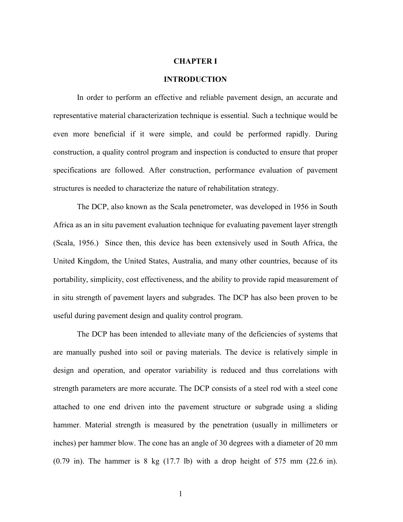#### **CHAPTER I**

#### **INTRODUCTION**

In order to perform an effective and reliable pavement design, an accurate and representative material characterization technique is essential. Such a technique would be even more beneficial if it were simple, and could be performed rapidly. During construction, a quality control program and inspection is conducted to ensure that proper specifications are followed. After construction, performance evaluation of pavement structures is needed to characterize the nature of rehabilitation strategy.

The DCP, also known as the Scala penetrometer, was developed in 1956 in South Africa as an in situ pavement evaluation technique for evaluating pavement layer strength (Scala, 1956.) Since then, this device has been extensively used in South Africa, the United Kingdom, the United States, Australia, and many other countries, because of its portability, simplicity, cost effectiveness, and the ability to provide rapid measurement of in situ strength of pavement layers and subgrades. The DCP has also been proven to be useful during pavement design and quality control program.

The DCP has been intended to alleviate many of the deficiencies of systems that are manually pushed into soil or paving materials. The device is relatively simple in design and operation, and operator variability is reduced and thus correlations with strength parameters are more accurate. The DCP consists of a steel rod with a steel cone attached to one end driven into the pavement structure or subgrade using a sliding hammer. Material strength is measured by the penetration (usually in millimeters or inches) per hammer blow. The cone has an angle of 30 degrees with a diameter of 20 mm  $(0.79 \text{ in})$ . The hammer is 8 kg  $(17.7 \text{ lb})$  with a drop height of 575 mm  $(22.6 \text{ in})$ .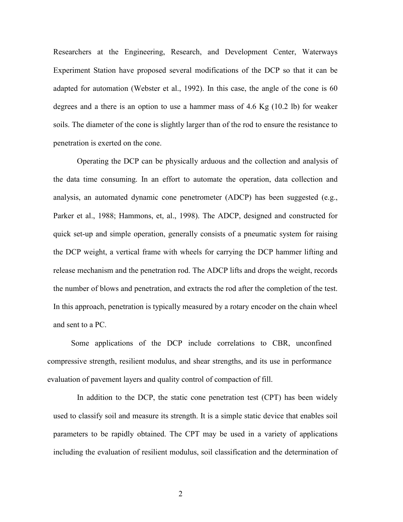Researchers at the Engineering, Research, and Development Center, Waterways Experiment Station have proposed several modifications of the DCP so that it can be adapted for automation (Webster et al., 1992). In this case, the angle of the cone is 60 degrees and a there is an option to use a hammer mass of 4.6 Kg (10.2 lb) for weaker soils. The diameter of the cone is slightly larger than of the rod to ensure the resistance to penetration is exerted on the cone.

Operating the DCP can be physically arduous and the collection and analysis of the data time consuming. In an effort to automate the operation, data collection and analysis, an automated dynamic cone penetrometer (ADCP) has been suggested (e.g., Parker et al., 1988; Hammons, et, al., 1998). The ADCP, designed and constructed for quick set-up and simple operation, generally consists of a pneumatic system for raising the DCP weight, a vertical frame with wheels for carrying the DCP hammer lifting and release mechanism and the penetration rod. The ADCP lifts and drops the weight, records the number of blows and penetration, and extracts the rod after the completion of the test. In this approach, penetration is typically measured by a rotary encoder on the chain wheel and sent to a PC.

Some applications of the DCP include correlations to CBR, unconfined compressive strength, resilient modulus, and shear strengths, and its use in performance evaluation of pavement layers and quality control of compaction of fill.

In addition to the DCP, the static cone penetration test (CPT) has been widely used to classify soil and measure its strength. It is a simple static device that enables soil parameters to be rapidly obtained. The CPT may be used in a variety of applications including the evaluation of resilient modulus, soil classification and the determination of

2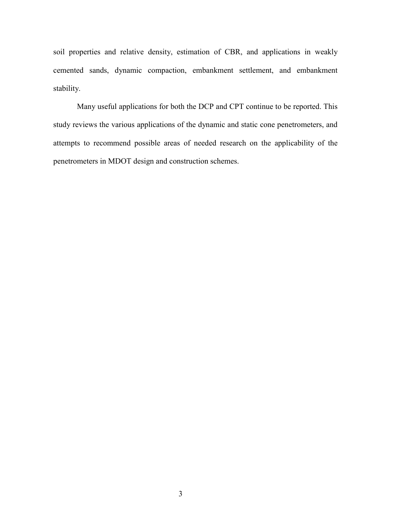soil properties and relative density, estimation of CBR, and applications in weakly cemented sands, dynamic compaction, embankment settlement, and embankment stability.

Many useful applications for both the DCP and CPT continue to be reported. This study reviews the various applications of the dynamic and static cone penetrometers, and attempts to recommend possible areas of needed research on the applicability of the penetrometers in MDOT design and construction schemes.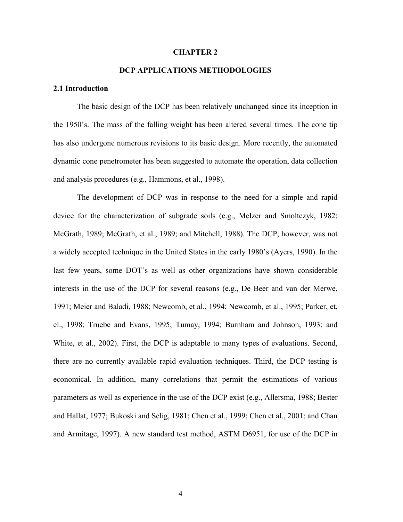#### **CHAPTER 2**

# **DCP APPLICATIONS METHODOLOGIES**

#### **2.1 Introduction**

The basic design of the DCP has been relatively unchanged since its inception in the 1950's. The mass of the falling weight has been altered several times. The cone tip has also undergone numerous revisions to its basic design. More recently, the automated dynamic cone penetrometer has been suggested to automate the operation, data collection and analysis procedures (e.g., Hammons, et al., 1998).

The development of DCP was in response to the need for a simple and rapid device for the characterization of subgrade soils (e.g., Melzer and Smoltczyk, 1982; McGrath, 1989; McGrath, et al., 1989; and Mitchell, 1988). The DCP, however, was not a widely accepted technique in the United States in the early 1980's (Ayers, 1990). In the last few years, some DOT's as well as other organizations have shown considerable interests in the use of the DCP for several reasons (e.g., De Beer and van der Merwe, 1991; Meier and Baladi, 1988; Newcomb, et al., 1994; Newcomb, et al., 1995; Parker, et, el., 1998; Truebe and Evans, 1995; Tumay, 1994; Burnham and Johnson, 1993; and White, et al., 2002). First, the DCP is adaptable to many types of evaluations. Second, there are no currently available rapid evaluation techniques. Third, the DCP testing is economical. In addition, many correlations that permit the estimations of various parameters as well as experience in the use of the DCP exist (e.g., Allersma, 1988; Bester and Hallat, 1977; Bukoski and Selig, 1981; Chen et al., 1999; Chen et al., 2001; and Chan and Armitage, 1997). A new standard test method, ASTM D6951, for use of the DCP in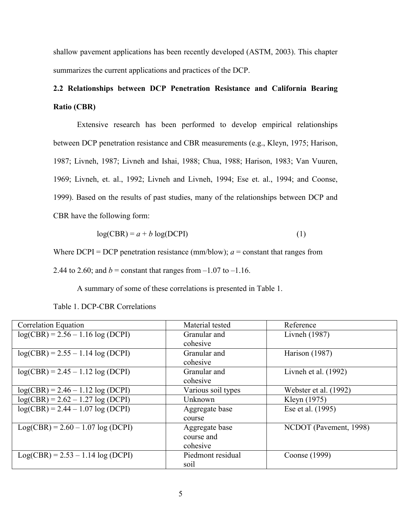shallow pavement applications has been recently developed (ASTM, 2003). This chapter summarizes the current applications and practices of the DCP.

# **2.2 Relationships between DCP Penetration Resistance and California Bearing Ratio (CBR)**

Extensive research has been performed to develop empirical relationships between DCP penetration resistance and CBR measurements (e.g., Kleyn, 1975; Harison, 1987; Livneh, 1987; Livneh and Ishai, 1988; Chua, 1988; Harison, 1983; Van Vuuren, 1969; Livneh, et. al., 1992; Livneh and Livneh, 1994; Ese et. al., 1994; and Coonse, 1999). Based on the results of past studies, many of the relationships between DCP and CBR have the following form:

$$
log(CBR) = a + b log(DCPI)
$$
 (1)

Where  $DCPI = DCP$  penetration resistance (mm/blow);  $a = constant$  that ranges from

2.44 to 2.60; and *b* = constant that ranges from  $-1.07$  to  $-1.16$ .

A summary of some of these correlations is presented in Table 1.

| <b>Correlation Equation</b>        | Material tested    | Reference              |
|------------------------------------|--------------------|------------------------|
| $log(CBR) = 2.56 - 1.16 log(DCPI)$ | Granular and       | Livneh (1987)          |
|                                    | cohesive           |                        |
| $log(CBR) = 2.55 - 1.14 log(DCPI)$ | Granular and       | Harison (1987)         |
|                                    | cohesive           |                        |
| $log(CBR) = 2.45 - 1.12 log(DCPI)$ | Granular and       | Livneh et al. $(1992)$ |
|                                    | cohesive           |                        |
| $log(CBR) = 2.46 - 1.12 log(DCPI)$ | Various soil types | Webster et al. (1992)  |
| $log(CBR) = 2.62 - 1.27 log(DCPI)$ | Unknown            | Kleyn (1975)           |
| $log(CBR) = 2.44 - 1.07 log(DCPI)$ | Aggregate base     | Ese et al. (1995)      |
|                                    | course             |                        |
| $Log(CBR) = 2.60 - 1.07 log(DCPI)$ | Aggregate base     | NCDOT (Pavement, 1998) |
|                                    | course and         |                        |
|                                    | cohesive           |                        |
| $Log(CBR) = 2.53 - 1.14 log(DCPI)$ | Piedmont residual  | Coonse (1999)          |
|                                    | soil               |                        |

Table 1. DCP-CBR Correlations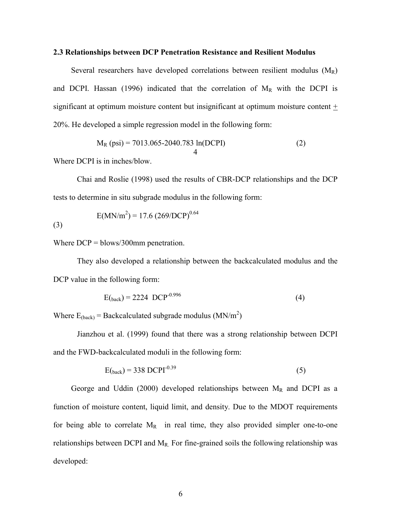#### **2.3 Relationships between DCP Penetration Resistance and Resilient Modulus**

Several researchers have developed correlations between resilient modulus  $(M_R)$ and DCPI. Hassan (1996) indicated that the correlation of  $M_R$  with the DCPI is significant at optimum moisture content but insignificant at optimum moisture content  $\pm$ 20%. He developed a simple regression model in the following form:

$$
M_R (psi) = 7013.065 - 2040.783 ln(DCPI)
$$
 (2)

Where DCPI is in inches/blow.

Chai and Roslie (1998) used the results of CBR-DCP relationships and the DCP tests to determine in situ subgrade modulus in the following form:

(3) 
$$
E(MN/m^{2}) = 17.6 (269/DCP)^{0.64}
$$

Where DCP = blows/300mm penetration.

They also developed a relationship between the backcalculated modulus and the DCP value in the following form:

$$
E_{\text{(back)}} = 2224 \text{ DCP}^{-0.996} \tag{4}
$$

Where  $E_{\text{(back)}} = \text{Backcalculated subgrade modulus } (MN/m^2)$ 

Jianzhou et al. (1999) found that there was a strong relationship between DCPI and the FWD-backcalculated moduli in the following form:

$$
E_{\text{(back)}} = 338 \, \text{DCPI}^{-0.39} \tag{5}
$$

George and Uddin (2000) developed relationships between  $M_R$  and DCPI as a function of moisture content, liquid limit, and density. Due to the MDOT requirements for being able to correlate  $M_R$  in real time, they also provided simpler one-to-one relationships between DCPI and  $M_R$ . For fine-grained soils the following relationship was developed: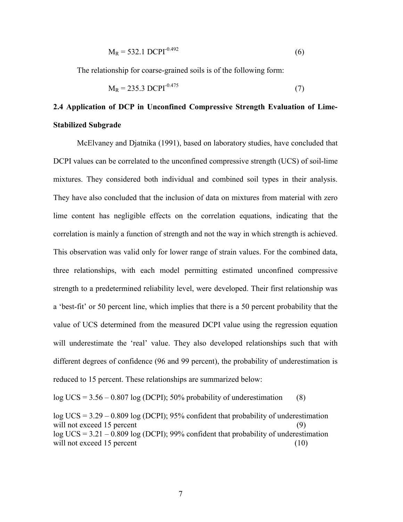$$
M_R = 532.1 \, DCPI^{-0.492} \tag{6}
$$

The relationship for coarse-grained soils is of the following form:

$$
M_R = 235.3 \, DCPI^{-0.475} \tag{7}
$$

# **2.4 Application of DCP in Unconfined Compressive Strength Evaluation of Lime-Stabilized Subgrade**

McElvaney and Djatnika (1991), based on laboratory studies, have concluded that DCPI values can be correlated to the unconfined compressive strength (UCS) of soil-lime mixtures. They considered both individual and combined soil types in their analysis. They have also concluded that the inclusion of data on mixtures from material with zero lime content has negligible effects on the correlation equations, indicating that the correlation is mainly a function of strength and not the way in which strength is achieved. This observation was valid only for lower range of strain values. For the combined data, three relationships, with each model permitting estimated unconfined compressive strength to a predetermined reliability level, were developed. Their first relationship was a 'best-fit' or 50 percent line, which implies that there is a 50 percent probability that the value of UCS determined from the measured DCPI value using the regression equation will underestimate the 'real' value. They also developed relationships such that with different degrees of confidence (96 and 99 percent), the probability of underestimation is reduced to 15 percent. These relationships are summarized below:

 $log UCS = 3.56 - 0.807 log (DCPI)$ ; 50% probability of underestimation (8)

 $log UCS = 3.29 - 0.809 log (DCPI)$ ; 95% confident that probability of underestimation will not exceed 15 percent  $(9)$  $log UCS = 3.21 - 0.809 log (DCPI)$ ; 99% confident that probability of underestimation will not exceed 15 percent  $(10)$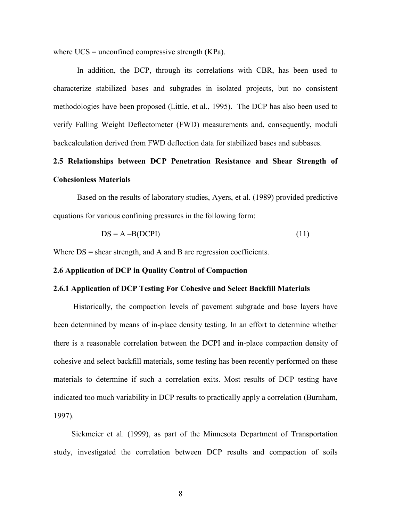where  $UCS =$  unconfined compressive strength  $(KPa)$ .

In addition, the DCP, through its correlations with CBR, has been used to characterize stabilized bases and subgrades in isolated projects, but no consistent methodologies have been proposed (Little, et al., 1995). The DCP has also been used to verify Falling Weight Deflectometer (FWD) measurements and, consequently, moduli backcalculation derived from FWD deflection data for stabilized bases and subbases.

# **2.5 Relationships between DCP Penetration Resistance and Shear Strength of Cohesionless Materials**

Based on the results of laboratory studies, Ayers, et al. (1989) provided predictive equations for various confining pressures in the following form:

$$
DS = A - B(DCPI)
$$
 (11)

Where  $DS = shear$  strength, and A and B are regression coefficients.

#### **2.6 Application of DCP in Quality Control of Compaction**

#### **2.6.1 Application of DCP Testing For Cohesive and Select Backfill Materials**

 Historically, the compaction levels of pavement subgrade and base layers have been determined by means of in-place density testing. In an effort to determine whether there is a reasonable correlation between the DCPI and in-place compaction density of cohesive and select backfill materials, some testing has been recently performed on these materials to determine if such a correlation exits. Most results of DCP testing have indicated too much variability in DCP results to practically apply a correlation (Burnham, 1997).

Siekmeier et al. (1999), as part of the Minnesota Department of Transportation study, investigated the correlation between DCP results and compaction of soils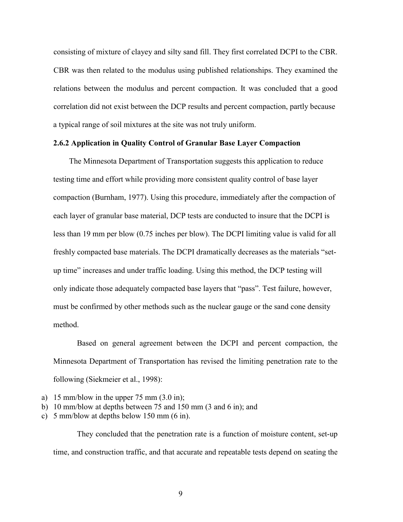consisting of mixture of clayey and silty sand fill. They first correlated DCPI to the CBR. CBR was then related to the modulus using published relationships. They examined the relations between the modulus and percent compaction. It was concluded that a good correlation did not exist between the DCP results and percent compaction, partly because a typical range of soil mixtures at the site was not truly uniform.

### **2.6.2 Application in Quality Control of Granular Base Layer Compaction**

 The Minnesota Department of Transportation suggests this application to reduce testing time and effort while providing more consistent quality control of base layer compaction (Burnham, 1977). Using this procedure, immediately after the compaction of each layer of granular base material, DCP tests are conducted to insure that the DCPI is less than 19 mm per blow (0.75 inches per blow). The DCPI limiting value is valid for all freshly compacted base materials. The DCPI dramatically decreases as the materials "setup timeî increases and under traffic loading. Using this method, the DCP testing will only indicate those adequately compacted base layers that "pass". Test failure, however, must be confirmed by other methods such as the nuclear gauge or the sand cone density method.

Based on general agreement between the DCPI and percent compaction, the Minnesota Department of Transportation has revised the limiting penetration rate to the following (Siekmeier et al., 1998):

- a) 15 mm/blow in the upper 75 mm  $(3.0 \text{ in})$ ;
- b) 10 mm/blow at depths between 75 and 150 mm (3 and 6 in); and
- c) 5 mm/blow at depths below 150 mm (6 in).

They concluded that the penetration rate is a function of moisture content, set-up time, and construction traffic, and that accurate and repeatable tests depend on seating the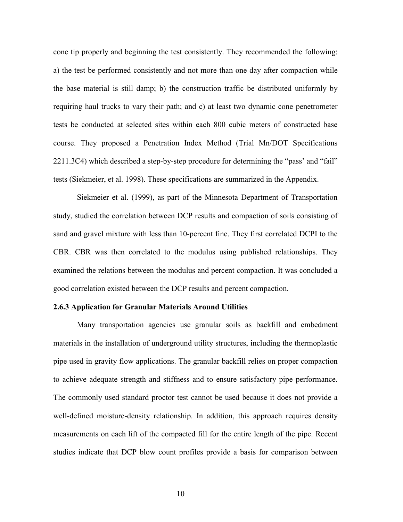cone tip properly and beginning the test consistently. They recommended the following: a) the test be performed consistently and not more than one day after compaction while the base material is still damp; b) the construction traffic be distributed uniformly by requiring haul trucks to vary their path; and c) at least two dynamic cone penetrometer tests be conducted at selected sites within each 800 cubic meters of constructed base course. They proposed a Penetration Index Method (Trial Mn/DOT Specifications  $2211.3C4$ ) which described a step-by-step procedure for determining the "pass" and "fail" tests (Siekmeier, et al. 1998). These specifications are summarized in the Appendix.

Siekmeier et al. (1999), as part of the Minnesota Department of Transportation study, studied the correlation between DCP results and compaction of soils consisting of sand and gravel mixture with less than 10-percent fine. They first correlated DCPI to the CBR. CBR was then correlated to the modulus using published relationships. They examined the relations between the modulus and percent compaction. It was concluded a good correlation existed between the DCP results and percent compaction.

#### **2.6.3 Application for Granular Materials Around Utilities**

Many transportation agencies use granular soils as backfill and embedment materials in the installation of underground utility structures, including the thermoplastic pipe used in gravity flow applications. The granular backfill relies on proper compaction to achieve adequate strength and stiffness and to ensure satisfactory pipe performance. The commonly used standard proctor test cannot be used because it does not provide a well-defined moisture-density relationship. In addition, this approach requires density measurements on each lift of the compacted fill for the entire length of the pipe. Recent studies indicate that DCP blow count profiles provide a basis for comparison between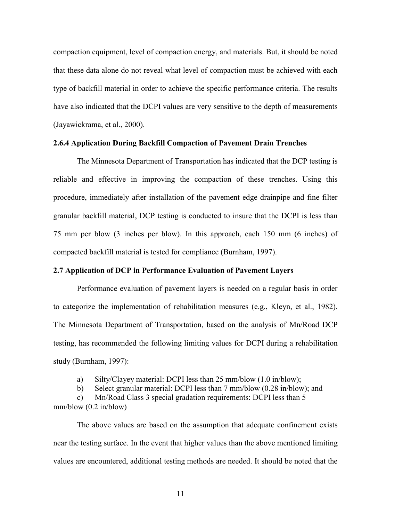compaction equipment, level of compaction energy, and materials. But, it should be noted that these data alone do not reveal what level of compaction must be achieved with each type of backfill material in order to achieve the specific performance criteria. The results have also indicated that the DCPI values are very sensitive to the depth of measurements (Jayawickrama, et al., 2000).

# **2.6.4 Application During Backfill Compaction of Pavement Drain Trenches**

The Minnesota Department of Transportation has indicated that the DCP testing is reliable and effective in improving the compaction of these trenches. Using this procedure, immediately after installation of the pavement edge drainpipe and fine filter granular backfill material, DCP testing is conducted to insure that the DCPI is less than 75 mm per blow (3 inches per blow). In this approach, each 150 mm (6 inches) of compacted backfill material is tested for compliance (Burnham, 1997).

#### **2.7 Application of DCP in Performance Evaluation of Pavement Layers**

Performance evaluation of pavement layers is needed on a regular basis in order to categorize the implementation of rehabilitation measures (e.g., Kleyn, et al., 1982). The Minnesota Department of Transportation, based on the analysis of Mn/Road DCP testing, has recommended the following limiting values for DCPI during a rehabilitation study (Burnham, 1997):

a) Silty/Clayey material: DCPI less than 25 mm/blow (1.0 in/blow);

b) Select granular material: DCPI less than 7 mm/blow (0.28 in/blow); and

c) Mn/Road Class 3 special gradation requirements: DCPI less than 5 mm/blow (0.2 in/blow)

The above values are based on the assumption that adequate confinement exists near the testing surface. In the event that higher values than the above mentioned limiting values are encountered, additional testing methods are needed. It should be noted that the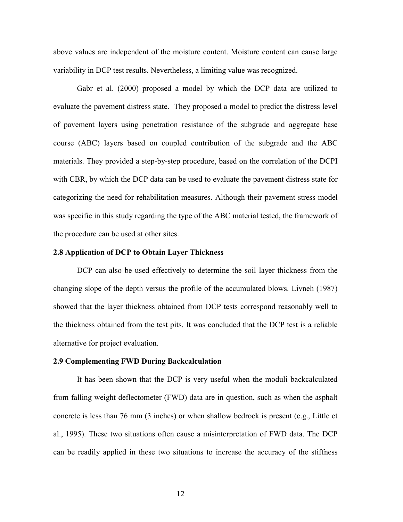above values are independent of the moisture content. Moisture content can cause large variability in DCP test results. Nevertheless, a limiting value was recognized.

Gabr et al. (2000) proposed a model by which the DCP data are utilized to evaluate the pavement distress state. They proposed a model to predict the distress level of pavement layers using penetration resistance of the subgrade and aggregate base course (ABC) layers based on coupled contribution of the subgrade and the ABC materials. They provided a step-by-step procedure, based on the correlation of the DCPI with CBR, by which the DCP data can be used to evaluate the pavement distress state for categorizing the need for rehabilitation measures. Although their pavement stress model was specific in this study regarding the type of the ABC material tested, the framework of the procedure can be used at other sites.

#### **2.8 Application of DCP to Obtain Layer Thickness**

DCP can also be used effectively to determine the soil layer thickness from the changing slope of the depth versus the profile of the accumulated blows. Livneh (1987) showed that the layer thickness obtained from DCP tests correspond reasonably well to the thickness obtained from the test pits. It was concluded that the DCP test is a reliable alternative for project evaluation.

#### **2.9 Complementing FWD During Backcalculation**

It has been shown that the DCP is very useful when the moduli backcalculated from falling weight deflectometer (FWD) data are in question, such as when the asphalt concrete is less than 76 mm (3 inches) or when shallow bedrock is present (e.g., Little et al., 1995). These two situations often cause a misinterpretation of FWD data. The DCP can be readily applied in these two situations to increase the accuracy of the stiffness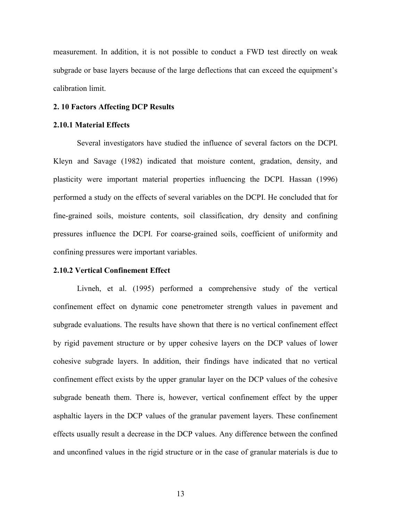measurement. In addition, it is not possible to conduct a FWD test directly on weak subgrade or base layers because of the large deflections that can exceed the equipment's calibration limit.

#### **2. 10 Factors Affecting DCP Results**

#### **2.10.1 Material Effects**

Several investigators have studied the influence of several factors on the DCPI. Kleyn and Savage (1982) indicated that moisture content, gradation, density, and plasticity were important material properties influencing the DCPI. Hassan (1996) performed a study on the effects of several variables on the DCPI. He concluded that for fine-grained soils, moisture contents, soil classification, dry density and confining pressures influence the DCPI. For coarse-grained soils, coefficient of uniformity and confining pressures were important variables.

#### **2.10.2 Vertical Confinement Effect**

Livneh, et al. (1995) performed a comprehensive study of the vertical confinement effect on dynamic cone penetrometer strength values in pavement and subgrade evaluations. The results have shown that there is no vertical confinement effect by rigid pavement structure or by upper cohesive layers on the DCP values of lower cohesive subgrade layers. In addition, their findings have indicated that no vertical confinement effect exists by the upper granular layer on the DCP values of the cohesive subgrade beneath them. There is, however, vertical confinement effect by the upper asphaltic layers in the DCP values of the granular pavement layers. These confinement effects usually result a decrease in the DCP values. Any difference between the confined and unconfined values in the rigid structure or in the case of granular materials is due to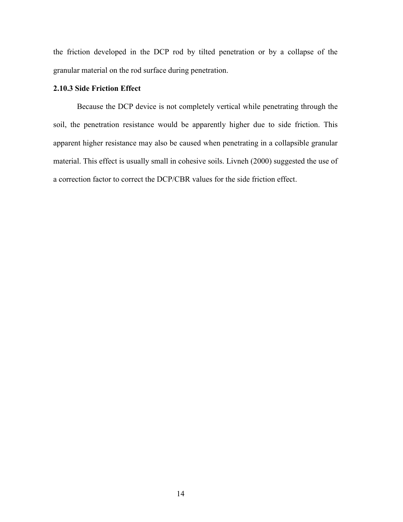the friction developed in the DCP rod by tilted penetration or by a collapse of the granular material on the rod surface during penetration.

# **2.10.3 Side Friction Effect**

Because the DCP device is not completely vertical while penetrating through the soil, the penetration resistance would be apparently higher due to side friction. This apparent higher resistance may also be caused when penetrating in a collapsible granular material. This effect is usually small in cohesive soils. Livneh (2000) suggested the use of a correction factor to correct the DCP/CBR values for the side friction effect.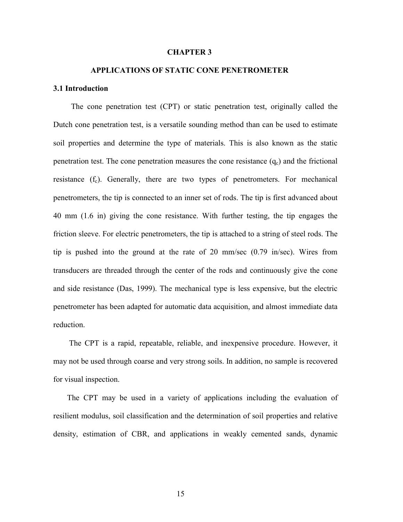#### **CHAPTER 3**

# **APPLICATIONS OF STATIC CONE PENETROMETER**

#### **3.1 Introduction**

 The cone penetration test (CPT) or static penetration test, originally called the Dutch cone penetration test, is a versatile sounding method than can be used to estimate soil properties and determine the type of materials. This is also known as the static penetration test. The cone penetration measures the cone resistance  $(q_c)$  and the frictional resistance  $(f_c)$ . Generally, there are two types of penetrometers. For mechanical penetrometers, the tip is connected to an inner set of rods. The tip is first advanced about 40 mm (1.6 in) giving the cone resistance. With further testing, the tip engages the friction sleeve. For electric penetrometers, the tip is attached to a string of steel rods. The tip is pushed into the ground at the rate of 20 mm/sec (0.79 in/sec). Wires from transducers are threaded through the center of the rods and continuously give the cone and side resistance (Das, 1999). The mechanical type is less expensive, but the electric penetrometer has been adapted for automatic data acquisition, and almost immediate data reduction.

 The CPT is a rapid, repeatable, reliable, and inexpensive procedure. However, it may not be used through coarse and very strong soils. In addition, no sample is recovered for visual inspection.

 The CPT may be used in a variety of applications including the evaluation of resilient modulus, soil classification and the determination of soil properties and relative density, estimation of CBR, and applications in weakly cemented sands, dynamic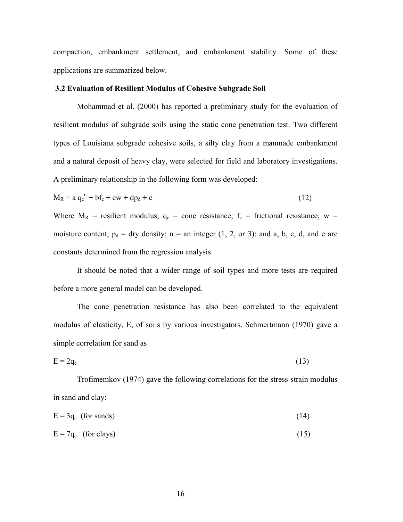compaction, embankment settlement, and embankment stability. Some of these applications are summarized below.

### **3.2 Evaluation of Resilient Modulus of Cohesive Subgrade Soil**

Mohammad et al. (2000) has reported a preliminary study for the evaluation of resilient modulus of subgrade soils using the static cone penetration test. Two different types of Louisiana subgrade cohesive soils, a silty clay from a manmade embankment and a natural deposit of heavy clay, were selected for field and laboratory investigations. A preliminary relationship in the following form was developed:

$$
M_R = a q_c^{n} + b f_c + c w + d p_d + e \qquad (12)
$$

Where  $M_R$  = resilient modulus;  $q_c$  = cone resistance;  $f_c$  = frictional resistance; w = moisture content;  $p_d = dry$  density;  $n = an$  integer (1, 2, or 3); and a, b, c, d, and e are constants determined from the regression analysis.

It should be noted that a wider range of soil types and more tests are required before a more general model can be developed.

The cone penetration resistance has also been correlated to the equivalent modulus of elasticity, E, of soils by various investigators. Schmertmann (1970) gave a simple correlation for sand as

$$
E = 2q_c \tag{13}
$$

Trofimemkov (1974) gave the following correlations for the stress-strain modulus in sand and clay:

 $E = 3q_c$  (for sands) (14)

$$
E = 7q_c \quad \text{(for class)} \tag{15}
$$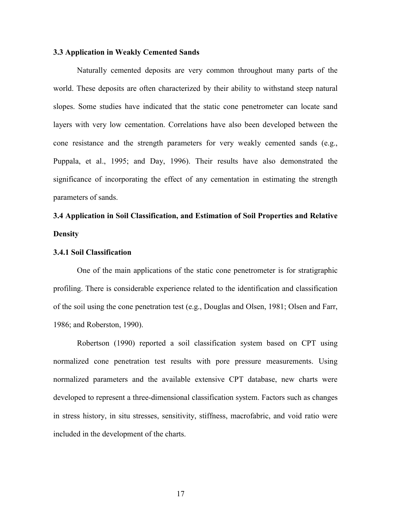#### **3.3 Application in Weakly Cemented Sands**

Naturally cemented deposits are very common throughout many parts of the world. These deposits are often characterized by their ability to withstand steep natural slopes. Some studies have indicated that the static cone penetrometer can locate sand layers with very low cementation. Correlations have also been developed between the cone resistance and the strength parameters for very weakly cemented sands (e.g., Puppala, et al., 1995; and Day, 1996). Their results have also demonstrated the significance of incorporating the effect of any cementation in estimating the strength parameters of sands.

# **3.4 Application in Soil Classification, and Estimation of Soil Properties and Relative Density**

#### **3.4.1 Soil Classification**

One of the main applications of the static cone penetrometer is for stratigraphic profiling. There is considerable experience related to the identification and classification of the soil using the cone penetration test (e.g., Douglas and Olsen, 1981; Olsen and Farr, 1986; and Roberston, 1990).

Robertson (1990) reported a soil classification system based on CPT using normalized cone penetration test results with pore pressure measurements. Using normalized parameters and the available extensive CPT database, new charts were developed to represent a three-dimensional classification system. Factors such as changes in stress history, in situ stresses, sensitivity, stiffness, macrofabric, and void ratio were included in the development of the charts.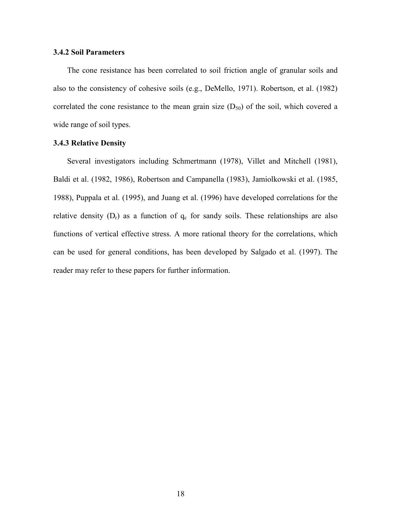## **3.4.2 Soil Parameters**

 The cone resistance has been correlated to soil friction angle of granular soils and also to the consistency of cohesive soils (e.g., DeMello, 1971). Robertson, et al. (1982) correlated the cone resistance to the mean grain size  $(D_{50})$  of the soil, which covered a wide range of soil types.

## **3.4.3 Relative Density**

 Several investigators including Schmertmann (1978), Villet and Mitchell (1981), Baldi et al. (1982, 1986), Robertson and Campanella (1983), Jamiolkowski et al. (1985, 1988), Puppala et al. (1995), and Juang et al. (1996) have developed correlations for the relative density  $(D_r)$  as a function of  $q_c$  for sandy soils. These relationships are also functions of vertical effective stress. A more rational theory for the correlations, which can be used for general conditions, has been developed by Salgado et al. (1997). The reader may refer to these papers for further information.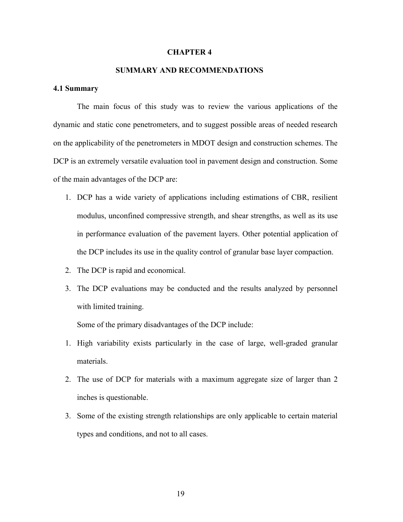#### **CHAPTER 4**

# **SUMMARY AND RECOMMENDATIONS**

#### **4.1 Summary**

 The main focus of this study was to review the various applications of the dynamic and static cone penetrometers, and to suggest possible areas of needed research on the applicability of the penetrometers in MDOT design and construction schemes. The DCP is an extremely versatile evaluation tool in pavement design and construction. Some of the main advantages of the DCP are:

- 1. DCP has a wide variety of applications including estimations of CBR, resilient modulus, unconfined compressive strength, and shear strengths, as well as its use in performance evaluation of the pavement layers. Other potential application of the DCP includes its use in the quality control of granular base layer compaction.
- 2. The DCP is rapid and economical.
- 3. The DCP evaluations may be conducted and the results analyzed by personnel with limited training.

Some of the primary disadvantages of the DCP include:

- 1. High variability exists particularly in the case of large, well-graded granular materials.
- 2. The use of DCP for materials with a maximum aggregate size of larger than 2 inches is questionable.
- 3. Some of the existing strength relationships are only applicable to certain material types and conditions, and not to all cases.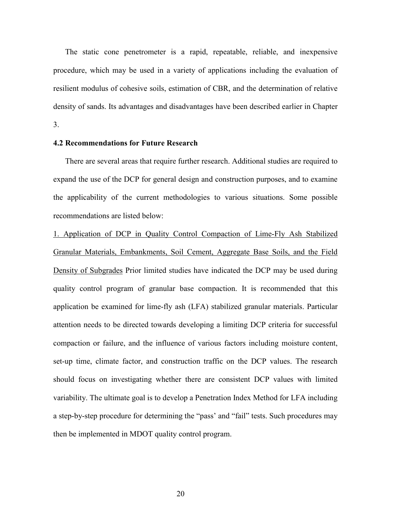The static cone penetrometer is a rapid, repeatable, reliable, and inexpensive procedure, which may be used in a variety of applications including the evaluation of resilient modulus of cohesive soils, estimation of CBR, and the determination of relative density of sands. Its advantages and disadvantages have been described earlier in Chapter 3.

#### **4.2 Recommendations for Future Research**

There are several areas that require further research. Additional studies are required to expand the use of the DCP for general design and construction purposes, and to examine the applicability of the current methodologies to various situations. Some possible recommendations are listed below:

1. Application of DCP in Quality Control Compaction of Lime-Fly Ash Stabilized Granular Materials, Embankments, Soil Cement, Aggregate Base Soils, and the Field Density of Subgrades Prior limited studies have indicated the DCP may be used during quality control program of granular base compaction. It is recommended that this application be examined for lime-fly ash (LFA) stabilized granular materials. Particular attention needs to be directed towards developing a limiting DCP criteria for successful compaction or failure, and the influence of various factors including moisture content, set-up time, climate factor, and construction traffic on the DCP values. The research should focus on investigating whether there are consistent DCP values with limited variability. The ultimate goal is to develop a Penetration Index Method for LFA including a step-by-step procedure for determining the "pass' and "fail" tests. Such procedures may then be implemented in MDOT quality control program.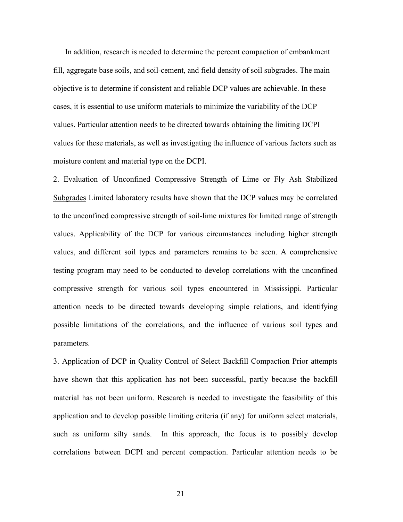In addition, research is needed to determine the percent compaction of embankment fill, aggregate base soils, and soil-cement, and field density of soil subgrades. The main objective is to determine if consistent and reliable DCP values are achievable. In these cases, it is essential to use uniform materials to minimize the variability of the DCP values. Particular attention needs to be directed towards obtaining the limiting DCPI values for these materials, as well as investigating the influence of various factors such as moisture content and material type on the DCPI.

2. Evaluation of Unconfined Compressive Strength of Lime or Fly Ash Stabilized Subgrades Limited laboratory results have shown that the DCP values may be correlated to the unconfined compressive strength of soil-lime mixtures for limited range of strength values. Applicability of the DCP for various circumstances including higher strength values, and different soil types and parameters remains to be seen. A comprehensive testing program may need to be conducted to develop correlations with the unconfined compressive strength for various soil types encountered in Mississippi. Particular attention needs to be directed towards developing simple relations, and identifying possible limitations of the correlations, and the influence of various soil types and parameters.

3. Application of DCP in Quality Control of Select Backfill Compaction Prior attempts have shown that this application has not been successful, partly because the backfill material has not been uniform. Research is needed to investigate the feasibility of this application and to develop possible limiting criteria (if any) for uniform select materials, such as uniform silty sands. In this approach, the focus is to possibly develop correlations between DCPI and percent compaction. Particular attention needs to be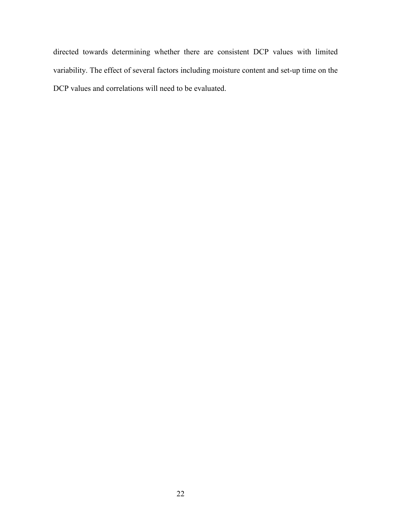directed towards determining whether there are consistent DCP values with limited variability. The effect of several factors including moisture content and set-up time on the DCP values and correlations will need to be evaluated.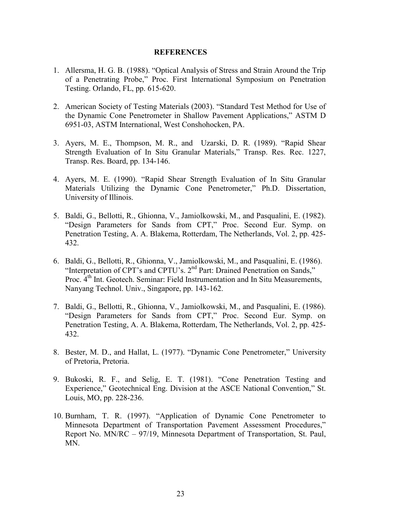#### **REFERENCES**

- 1. Allersma, H. G. B. (1988). "Optical Analysis of Stress and Strain Around the Trip of a Penetrating Probe," Proc. First International Symposium on Penetration Testing. Orlando, FL, pp. 615-620.
- 2. American Society of Testing Materials (2003). "Standard Test Method for Use of the Dynamic Cone Penetrometer in Shallow Pavement Applications," ASTM D 6951-03, ASTM International, West Conshohocken, PA.
- 3. Ayers, M. E., Thompson, M. R., and Uzarski, D. R. (1989). "Rapid Shear Strength Evaluation of In Situ Granular Materials," Transp. Res. Rec. 1227, Transp. Res. Board, pp. 134-146.
- 4. Ayers, M. E. (1990). "Rapid Shear Strength Evaluation of In Situ Granular Materials Utilizing the Dynamic Cone Penetrometer," Ph.D. Dissertation, University of Illinois.
- 5. Baldi, G., Bellotti, R., Ghionna, V., Jamiolkowski, M., and Pasqualini, E. (1982). "Design Parameters for Sands from CPT," Proc. Second Eur. Symp. on Penetration Testing, A. A. Blakema, Rotterdam, The Netherlands, Vol. 2, pp. 425- 432.
- 6. Baldi, G., Bellotti, R., Ghionna, V., Jamiolkowski, M., and Pasqualini, E. (1986). "Interpretation of CPT's and CPTU's.  $2<sup>nd</sup>$  Part: Drained Penetration on Sands," Proc. 4th Int. Geotech. Seminar: Field Instrumentation and In Situ Measurements, Nanyang Technol. Univ., Singapore, pp. 143-162.
- 7. Baldi, G., Bellotti, R., Ghionna, V., Jamiolkowski, M., and Pasqualini, E. (1986). ìDesign Parameters for Sands from CPT,î Proc. Second Eur. Symp. on Penetration Testing, A. A. Blakema, Rotterdam, The Netherlands, Vol. 2, pp. 425- 432.
- 8. Bester, M. D., and Hallat, L. (1977). "Dynamic Cone Penetrometer," University of Pretoria, Pretoria.
- 9. Bukoski, R. F., and Selig, E. T. (1981). "Cone Penetration Testing and Experience," Geotechnical Eng. Division at the ASCE National Convention," St. Louis, MO, pp. 228-236.
- 10. Burnham, T. R. (1997). "Application of Dynamic Cone Penetrometer to Minnesota Department of Transportation Pavement Assessment Procedures," Report No.  $MN/RC - 97/19$ , Minnesota Department of Transportation, St. Paul, MN.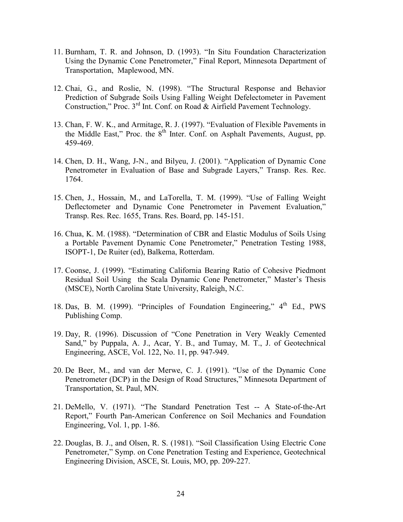- 11. Burnham, T. R. and Johnson, D. (1993). "In Situ Foundation Characterization Using the Dynamic Cone Penetrometer," Final Report, Minnesota Department of Transportation, Maplewood, MN.
- 12. Chai, G., and Roslie, N. (1998). "The Structural Response and Behavior Prediction of Subgrade Soils Using Falling Weight Defelectometer in Pavement Construction," Proc. 3<sup>rd</sup> Int. Conf. on Road & Airfield Pavement Technology.
- 13. Chan, F. W. K., and Armitage, R. J. (1997). "Evaluation of Flexible Pavements in the Middle East," Proc. the  $8<sup>th</sup>$  Inter. Conf. on Asphalt Pavements, August, pp. 459-469.
- 14. Chen, D. H., Wang, J-N., and Bilyeu, J. (2001). "Application of Dynamic Cone Penetrometer in Evaluation of Base and Subgrade Layers," Transp. Res. Rec. 1764.
- 15. Chen, J., Hossain, M., and LaTorella, T. M. (1999). "Use of Falling Weight Deflectometer and Dynamic Cone Penetrometer in Pavement Evaluation," Transp. Res. Rec. 1655, Trans. Res. Board, pp. 145-151.
- 16. Chua, K. M. (1988). "Determination of CBR and Elastic Modulus of Soils Using a Portable Pavement Dynamic Cone Penetrometer," Penetration Testing 1988, ISOPT-1, De Ruiter (ed), Balkema, Rotterdam.
- 17. Coonse, J. (1999). "Estimating California Bearing Ratio of Cohesive Piedmont Residual Soil Using the Scala Dynamic Cone Penetrometer," Master's Thesis (MSCE), North Carolina State University, Raleigh, N.C.
- 18. Das, B. M. (1999). "Principles of Foundation Engineering,"  $4<sup>th</sup>$  Ed., PWS Publishing Comp.
- 19. Day, R. (1996). Discussion of "Cone Penetration in Very Weakly Cemented Sand," by Puppala, A. J., Acar, Y. B., and Tumay, M. T., J. of Geotechnical Engineering, ASCE, Vol. 122, No. 11, pp. 947-949.
- 20. De Beer, M., and van der Merwe, C. J. (1991). "Use of the Dynamic Cone Penetrometer (DCP) in the Design of Road Structures," Minnesota Department of Transportation, St. Paul, MN.
- 21. DeMello, V. (1971). "The Standard Penetration Test -- A State-of-the-Art Report," Fourth Pan-American Conference on Soil Mechanics and Foundation Engineering, Vol. 1, pp. 1-86.
- 22. Douglas, B. J., and Olsen, R. S.  $(1981)$ . "Soil Classification Using Electric Cone Penetrometer," Symp. on Cone Penetration Testing and Experience, Geotechnical Engineering Division, ASCE, St. Louis, MO, pp. 209-227.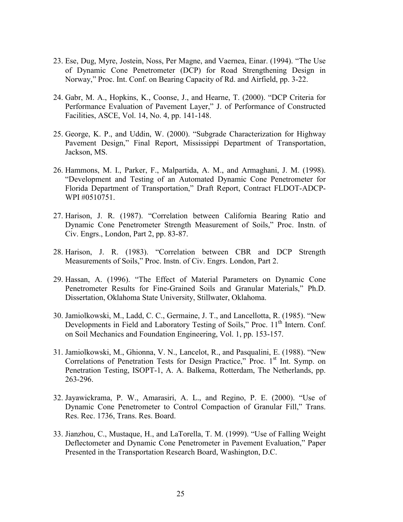- 23. Ese, Dug, Myre, Jostein, Noss, Per Magne, and Vaernea, Einar. (1994). "The Use of Dynamic Cone Penetrometer (DCP) for Road Strengthening Design in Norway," Proc. Int. Conf. on Bearing Capacity of Rd. and Airfield, pp. 3-22.
- 24. Gabr, M. A., Hopkins, K., Coonse, J., and Hearne, T. (2000). "DCP Criteria for Performance Evaluation of Pavement Layer," J. of Performance of Constructed Facilities, ASCE, Vol. 14, No. 4, pp. 141-148.
- 25. George, K. P., and Uddin, W. (2000). "Subgrade Characterization for Highway Pavement Design," Final Report, Mississippi Department of Transportation, Jackson, MS.
- 26. Hammons, M. I., Parker, F., Malpartida, A. M., and Armaghani, J. M. (1998). ìDevelopment and Testing of an Automated Dynamic Cone Penetrometer for Florida Department of Transportation," Draft Report, Contract FLDOT-ADCP-WPI #0510751.
- 27. Harison, J. R. (1987). "Correlation between California Bearing Ratio and Dynamic Cone Penetrometer Strength Measurement of Soils," Proc. Instn. of Civ. Engrs., London, Part 2, pp. 83-87.
- 28. Harison, J. R. (1983). "Correlation between CBR and DCP Strength Measurements of Soils," Proc. Instn. of Civ. Engrs. London, Part 2.
- 29. Hassan, A. (1996). "The Effect of Material Parameters on Dynamic Cone Penetrometer Results for Fine-Grained Soils and Granular Materials," Ph.D. Dissertation, Oklahoma State University, Stillwater, Oklahoma.
- 30. Jamiolkowski, M., Ladd, C. C., Germaine, J. T., and Lancellotta, R. (1985). "New Developments in Field and Laboratory Testing of Soils," Proc.  $11<sup>th</sup>$  Intern. Conf. on Soil Mechanics and Foundation Engineering, Vol. 1, pp. 153-157.
- 31. Jamiolkowski, M., Ghionna, V. N., Lancelot, R., and Pasqualini, E. (1988). "New Correlations of Penetration Tests for Design Practice," Proc. 1<sup>st</sup> Int. Symp. on Penetration Testing, ISOPT-1, A. A. Balkema, Rotterdam, The Netherlands, pp. 263-296.
- 32. Jayawickrama, P. W., Amarasiri, A. L., and Regino, P. E. (2000). "Use of Dynamic Cone Penetrometer to Control Compaction of Granular Fill," Trans. Res. Rec. 1736, Trans. Res. Board.
- 33. Jianzhou, C., Mustaque, H., and LaTorella, T. M. (1999). "Use of Falling Weight Deflectometer and Dynamic Cone Penetrometer in Pavement Evaluation," Paper Presented in the Transportation Research Board, Washington, D.C.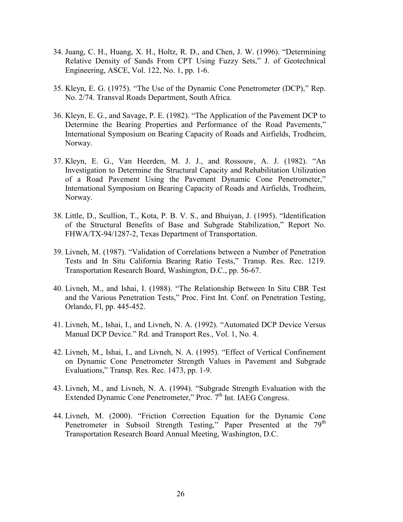- $34.$  Juang, C. H., Huang, X. H., Holtz, R. D., and Chen, J. W. (1996). "Determining Relative Density of Sands From CPT Using Fuzzy Sets," J. of Geotechnical Engineering, ASCE, Vol. 122, No. 1, pp. 1-6.
- 35. Kleyn, E. G. (1975). "The Use of the Dynamic Cone Penetrometer (DCP)," Rep. No. 2/74. Transval Roads Department, South Africa.
- 36. Kleyn, E. G., and Savage, P. E. (1982). "The Application of the Pavement DCP to Determine the Bearing Properties and Performance of the Road Pavements," International Symposium on Bearing Capacity of Roads and Airfields, Trodheim, Norway.
- 37. Kleyn, E. G., Van Heerden, M. J. J., and Rossouw, A. J. (1982). "An Investigation to Determine the Structural Capacity and Rehabilitation Utilization of a Road Pavement Using the Pavement Dynamic Cone Penetrometer." International Symposium on Bearing Capacity of Roads and Airfields, Trodheim, Norway.
- 38. Little, D., Scullion, T., Kota, P. B. V. S., and Bhuiyan, J. (1995). "Identification of the Structural Benefits of Base and Subgrade Stabilization," Report No. FHWA/TX-94/1287-2, Texas Department of Transportation.
- 39. Livneh, M. (1987). "Validation of Correlations between a Number of Penetration Tests and In Situ California Bearing Ratio Tests," Transp. Res. Rec. 1219. Transportation Research Board, Washington, D.C., pp. 56-67.
- 40. Livneh, M., and Ishai, I. (1988). "The Relationship Between In Situ CBR Test and the Various Penetration Tests," Proc. First Int. Conf. on Penetration Testing, Orlando, Fl, pp. 445-452.
- 41. Livneh, M., Ishai, I., and Livneh, N. A. (1992). "Automated DCP Device Versus Manual DCP Device." Rd. and Transport Res., Vol. 1, No. 4.
- 42. Livneh, M., Ishai, I., and Livneh, N. A. (1995). "Effect of Vertical Confinement on Dynamic Cone Penetrometer Strength Values in Pavement and Subgrade Evaluations," Transp. Res. Rec. 1473, pp. 1-9.
- 43. Livneh, M., and Livneh, N. A. (1994). "Subgrade Strength Evaluation with the Extended Dynamic Cone Penetrometer," Proc. 7<sup>th</sup> Int. IAEG Congress.
- 44. Livneh, M. (2000). "Friction Correction Equation for the Dynamic Cone Penetrometer in Subsoil Strength Testing," Paper Presented at the 79<sup>th</sup> Transportation Research Board Annual Meeting, Washington, D.C.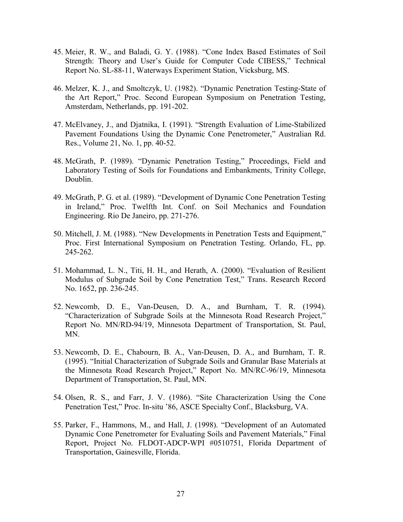- 45. Meier, R. W., and Baladi, G. Y. (1988). "Cone Index Based Estimates of Soil Strength: Theory and User's Guide for Computer Code CIBESS," Technical Report No. SL-88-11, Waterways Experiment Station, Vicksburg, MS.
- 46. Melzer, K. J., and Smoltczyk, U. (1982). "Dynamic Penetration Testing-State of the Art Report," Proc. Second European Symposium on Penetration Testing, Amsterdam, Netherlands, pp. 191-202.
- 47. McElvaney, J., and Djatnika, I. (1991). "Strength Evaluation of Lime-Stabilized Pavement Foundations Using the Dynamic Cone Penetrometer," Australian Rd. Res., Volume 21, No. 1, pp. 40-52.
- 48. McGrath, P. (1989). "Dynamic Penetration Testing," Proceedings, Field and Laboratory Testing of Soils for Foundations and Embankments, Trinity College, Doublin.
- 49. McGrath, P. G. et al. (1989). "Development of Dynamic Cone Penetration Testing in Ireland," Proc. Twelfth Int. Conf. on Soil Mechanics and Foundation Engineering. Rio De Janeiro, pp. 271-276.
- 50. Mitchell, J. M. (1988). "New Developments in Penetration Tests and Equipment," Proc. First International Symposium on Penetration Testing. Orlando, FL, pp. 245-262.
- 51. Mohammad, L. N., Titi, H. H., and Herath, A. (2000). "Evaluation of Resilient Modulus of Subgrade Soil by Cone Penetration Test," Trans. Research Record No. 1652, pp. 236-245.
- 52. Newcomb, D. E., Van-Deusen, D. A., and Burnham, T. R. (1994). "Characterization of Subgrade Soils at the Minnesota Road Research Project," Report No. MN/RD-94/19, Minnesota Department of Transportation, St. Paul, MN.
- 53. Newcomb, D. E., Chabourn, B. A., Van-Deusen, D. A., and Burnham, T. R. (1995). "Initial Characterization of Subgrade Soils and Granular Base Materials at the Minnesota Road Research Project," Report No. MN/RC-96/19, Minnesota Department of Transportation, St. Paul, MN.
- 54. Olsen, R. S., and Farr, J. V. (1986). "Site Characterization Using the Cone Penetration Test," Proc. In-situ '86, ASCE Specialty Conf., Blacksburg, VA.
- 55. Parker, F., Hammons, M., and Hall, J. (1998). "Development of an Automated Dynamic Cone Penetrometer for Evaluating Soils and Pavement Materials," Final Report, Project No. FLDOT-ADCP-WPI #0510751, Florida Department of Transportation, Gainesville, Florida.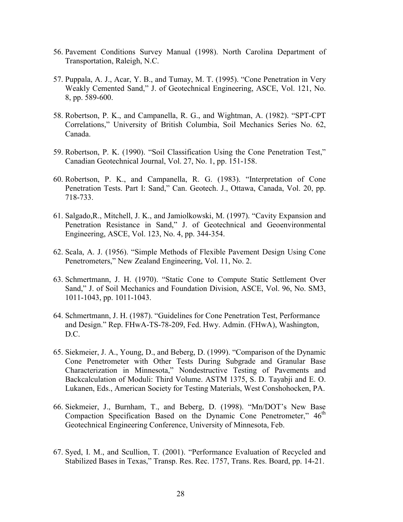- 56. Pavement Conditions Survey Manual (1998). North Carolina Department of Transportation, Raleigh, N.C.
- 57. Puppala, A. J., Acar, Y. B., and Tumay, M. T.  $(1995)$ . "Cone Penetration in Very Weakly Cemented Sand," J. of Geotechnical Engineering, ASCE, Vol. 121, No. 8, pp. 589-600.
- 58. Robertson, P. K., and Campanella, R. G., and Wightman, A. (1982). "SPT-CPT Correlations," University of British Columbia, Soil Mechanics Series No. 62, Canada.
- 59. Robertson, P. K. (1990). "Soil Classification Using the Cone Penetration Test," Canadian Geotechnical Journal, Vol. 27, No. 1, pp. 151-158.
- $60.$  Robertson, P. K., and Campanella, R. G.  $(1983)$ . "Interpretation of Cone Penetration Tests. Part I: Sand," Can. Geotech. J., Ottawa, Canada, Vol. 20, pp. 718-733.
- 61. Salgado, R., Mitchell, J. K., and Jamiolkowski, M. (1997). "Cavity Expansion and Penetration Resistance in Sand," J. of Geotechnical and Geoenvironmental Engineering, ASCE, Vol. 123, No. 4, pp. 344-354.
- 62. Scala, A. J. (1956). "Simple Methods of Flexible Pavement Design Using Cone Penetrometers," New Zealand Engineering, Vol. 11, No. 2.
- 63. Schmertmann, J. H. (1970). "Static Cone to Compute Static Settlement Over Sand," J. of Soil Mechanics and Foundation Division, ASCE, Vol. 96, No. SM3, 1011-1043, pp. 1011-1043.
- 64. Schmertmann, J. H. (1987). "Guidelines for Cone Penetration Test, Performance and Design." Rep. FHwA-TS-78-209, Fed. Hwy. Admin. (FHwA), Washington, D.C.
- 65. Siekmeier, J. A., Young, D., and Beberg, D. (1999). "Comparison of the Dynamic Cone Penetrometer with Other Tests During Subgrade and Granular Base Characterization in Minnesota," Nondestructive Testing of Pavements and Backcalculation of Moduli: Third Volume. ASTM 1375, S. D. Tayabji and E. O. Lukanen, Eds., American Society for Testing Materials, West Conshohocken, PA.
- 66. Siekmeier, J., Burnham, T., and Beberg, D. (1998). "Mn/DOT's New Base Compaction Specification Based on the Dynamic Cone Penetrometer, $146<sup>th</sup>$ Geotechnical Engineering Conference, University of Minnesota, Feb.
- 67. Syed, I. M., and Scullion, T. (2001). "Performance Evaluation of Recycled and Stabilized Bases in Texas," Transp. Res. Rec. 1757, Trans. Res. Board, pp. 14-21.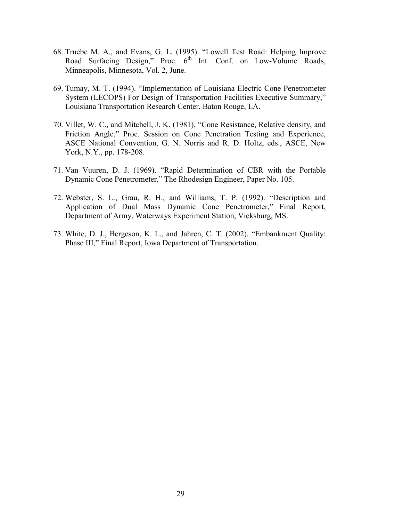- 68. Truebe M. A., and Evans, G. L. (1995). "Lowell Test Road: Helping Improve Road Surfacing Design," Proc.  $6^{th}$  Int. Conf. on Low-Volume Roads, Minneapolis, Minnesota, Vol. 2, June.
- 69. Tumay, M. T. (1994). "Implementation of Louisiana Electric Cone Penetrometer System (LECOPS) For Design of Transportation Facilities Executive Summary," Louisiana Transportation Research Center, Baton Rouge, LA.
- 70. Villet, W. C., and Mitchell, J. K. (1981). "Cone Resistance, Relative density, and Friction Angle," Proc. Session on Cone Penetration Testing and Experience, ASCE National Convention, G. N. Norris and R. D. Holtz, eds., ASCE, New York, N.Y., pp. 178-208.
- 71. Van Vuuren, D. J. (1969). "Rapid Determination of CBR with the Portable Dynamic Cone Penetrometer," The Rhodesign Engineer, Paper No. 105.
- 72. Webster, S. L., Grau, R. H., and Williams, T. P. (1992). "Description and Application of Dual Mass Dynamic Cone Penetrometer," Final Report, Department of Army, Waterways Experiment Station, Vicksburg, MS.
- 73. White, D. J., Bergeson, K. L., and Jahren, C. T. (2002). "Embankment Quality: Phase III," Final Report, Iowa Department of Transportation.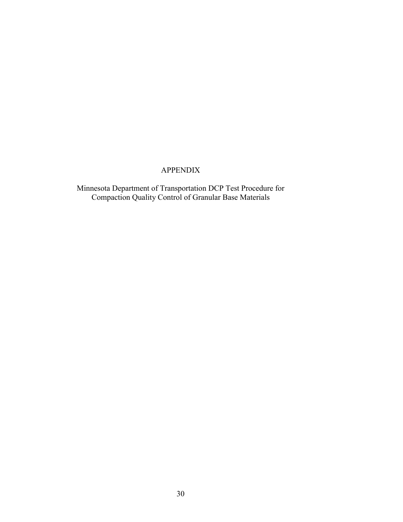# APPENDIX

Minnesota Department of Transportation DCP Test Procedure for Compaction Quality Control of Granular Base Materials